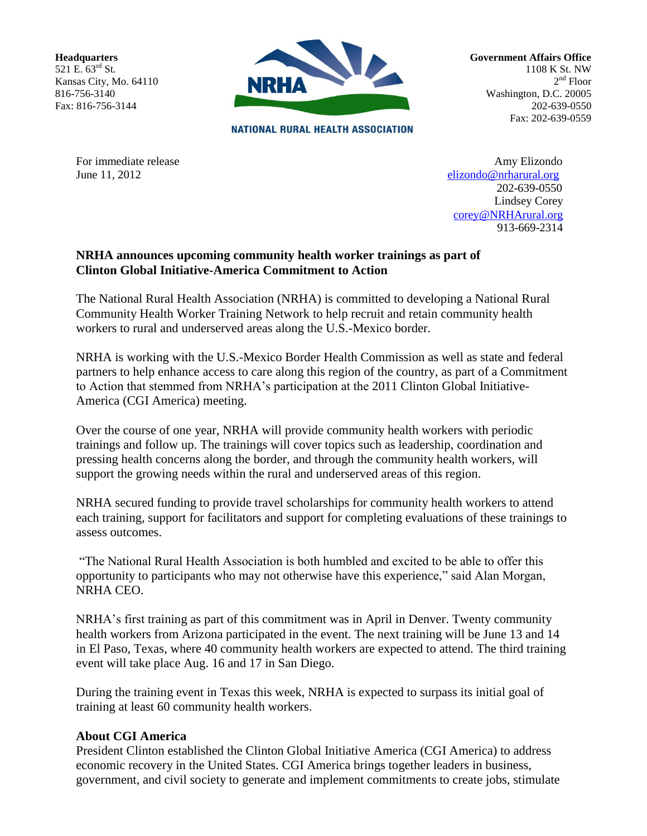**Headquarters** 521 E. 63rd St. Kansas City, Mo. 64110 816-756-3140 Fax: 816-756-3144



**Government Affairs Office** 1108 K St. NW 2<sup>nd</sup> Floor Washington, D.C. 20005 202-639-0550 Fax: 202-639-0559

**NATIONAL RURAL HEALTH ASSOCIATION** 

For immediate release Amy Elizondo June 11, 2012 [elizondo@nrharural.org](mailto:%20%20%20elizondo@nrharural.org) 202-639-0550 Lindsey Corey [corey@NRHArural.org](mailto:corey@NRHArural.org) 913-669-2314

## **NRHA announces upcoming community health worker trainings as part of Clinton Global Initiative-America Commitment to Action**

The National Rural Health Association (NRHA) is committed to developing a National Rural Community Health Worker Training Network to help recruit and retain community health workers to rural and underserved areas along the U.S.-Mexico border.

NRHA is working with the U.S.-Mexico Border Health Commission as well as state and federal partners to help enhance access to care along this region of the country, as part of a Commitment to Action that stemmed from NRHA's participation at the 2011 Clinton Global Initiative-America (CGI America) meeting.

Over the course of one year, NRHA will provide community health workers with periodic trainings and follow up. The trainings will cover topics such as leadership, coordination and pressing health concerns along the border, and through the community health workers, will support the growing needs within the rural and underserved areas of this region.

NRHA secured funding to provide travel scholarships for community health workers to attend each training, support for facilitators and support for completing evaluations of these trainings to assess outcomes.

"The National Rural Health Association is both humbled and excited to be able to offer this opportunity to participants who may not otherwise have this experience," said Alan Morgan, NRHA CEO.

NRHA's first training as part of this commitment was in April in Denver. Twenty community health workers from Arizona participated in the event. The next training will be June 13 and 14 in El Paso, Texas, where 40 community health workers are expected to attend. The third training event will take place Aug. 16 and 17 in San Diego.

During the training event in Texas this week, NRHA is expected to surpass its initial goal of training at least 60 community health workers.

## **About CGI America**

President Clinton established the Clinton Global Initiative America (CGI America) to address economic recovery in the United States. CGI America brings together leaders in business, government, and civil society to generate and implement commitments to create jobs, stimulate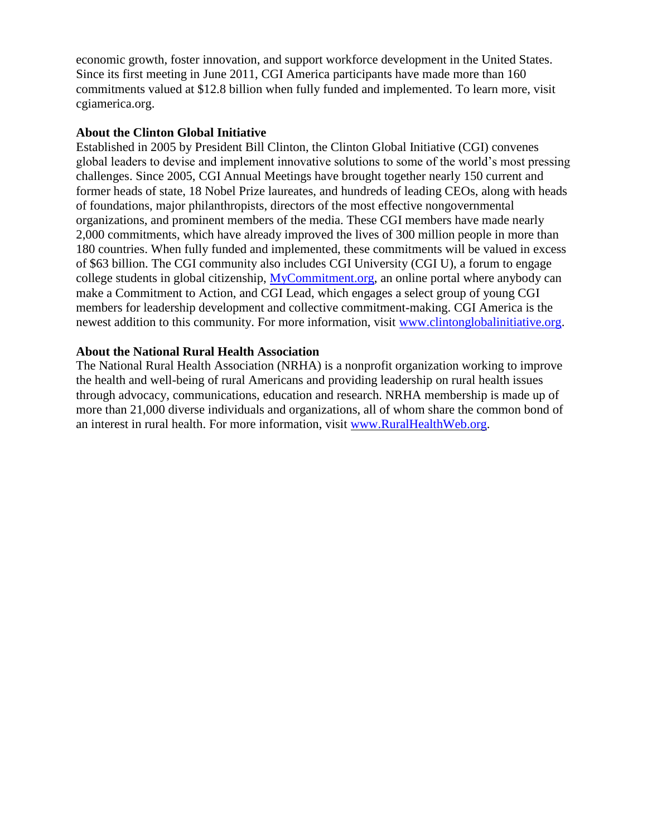economic growth, foster innovation, and support workforce development in the United States. Since its first meeting in June 2011, CGI America participants have made more than 160 commitments valued at \$12.8 billion when fully funded and implemented. To learn more, visit cgiamerica.org.

## **About the Clinton Global Initiative**

Established in 2005 by President Bill Clinton, the Clinton Global Initiative (CGI) convenes global leaders to devise and implement innovative solutions to some of the world's most pressing challenges. Since 2005, CGI Annual Meetings have brought together nearly 150 current and former heads of state, 18 Nobel Prize laureates, and hundreds of leading CEOs, along with heads of foundations, major philanthropists, directors of the most effective nongovernmental organizations, and prominent members of the media. These CGI members have made nearly 2,000 commitments, which have already improved the lives of 300 million people in more than 180 countries. When fully funded and implemented, these commitments will be valued in excess of \$63 billion. The CGI community also includes CGI University (CGI U), a forum to engage college students in global citizenship, [MyCommitment.org,](http://mycommitment.org/) an online portal where anybody can make a Commitment to Action, and CGI Lead, which engages a select group of young CGI members for leadership development and collective commitment-making. CGI America is the newest addition to this community. For more information, visit [www.clintonglobalinitiative.org.](http://www.clintonglobalinitiative.org/)

## **About the National Rural Health Association**

The National Rural Health Association (NRHA) is a nonprofit organization working to improve the health and well-being of rural Americans and providing leadership on rural health issues through advocacy, communications, education and research. NRHA membership is made up of more than 21,000 diverse individuals and organizations, all of whom share the common bond of an interest in rural health. For more information, visit [www.RuralHealthWeb.org.](http://www.ruralhealthweb.org/)